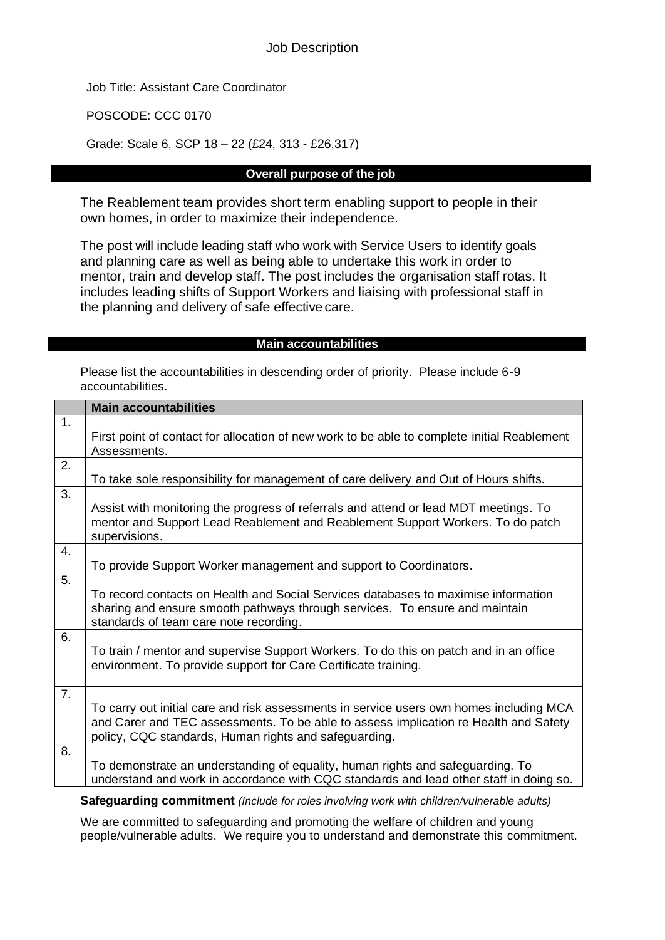Job Title: Assistant Care Coordinator

POSCODE: CCC 0170

Grade: Scale 6, SCP 18 – 22 (£24, 313 - £26,317)

### **Overall purpose of the job**

The Reablement team provides short term enabling support to people in their own homes, in order to maximize their independence.

The post will include leading staff who work with Service Users to identify goals and planning care as well as being able to undertake this work in order to mentor, train and develop staff. The post includes the organisation staff rotas. It includes leading shifts of Support Workers and liaising with professional staff in the planning and delivery of safe effective care.

#### **Main accountabilities**

Please list the accountabilities in descending order of priority. Please include 6-9 accountabilities.

|    | <b>Main accountabilities</b>                                                                                                                                                                                                             |
|----|------------------------------------------------------------------------------------------------------------------------------------------------------------------------------------------------------------------------------------------|
| 1. | First point of contact for allocation of new work to be able to complete initial Reablement<br>Assessments.                                                                                                                              |
| 2. | To take sole responsibility for management of care delivery and Out of Hours shifts.                                                                                                                                                     |
| 3. | Assist with monitoring the progress of referrals and attend or lead MDT meetings. To<br>mentor and Support Lead Reablement and Reablement Support Workers. To do patch<br>supervisions.                                                  |
| 4. | To provide Support Worker management and support to Coordinators.                                                                                                                                                                        |
| 5. | To record contacts on Health and Social Services databases to maximise information<br>sharing and ensure smooth pathways through services. To ensure and maintain<br>standards of team care note recording.                              |
| 6. | To train / mentor and supervise Support Workers. To do this on patch and in an office<br>environment. To provide support for Care Certificate training.                                                                                  |
| 7. | To carry out initial care and risk assessments in service users own homes including MCA<br>and Carer and TEC assessments. To be able to assess implication re Health and Safety<br>policy, CQC standards, Human rights and safeguarding. |
| 8. | To demonstrate an understanding of equality, human rights and safeguarding. To<br>understand and work in accordance with CQC standards and lead other staff in doing so.                                                                 |

**Safeguarding commitment** *(Include for roles involving work with children/vulnerable adults)*

We are committed to safeguarding and promoting the welfare of children and young people/vulnerable adults. We require you to understand and demonstrate this commitment.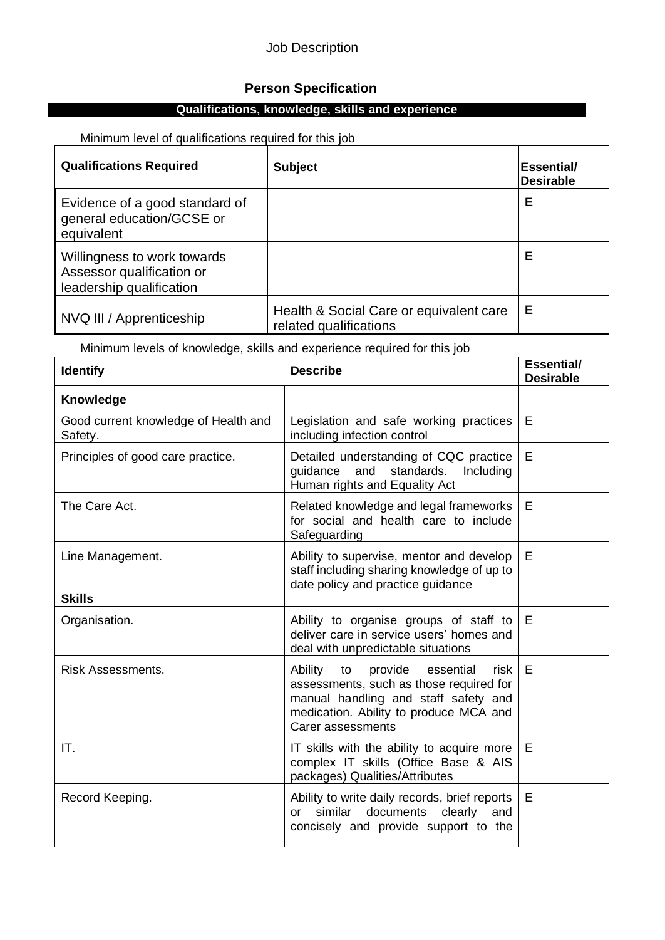### Job Description

## **Person Specification**

# **Qualifications, knowledge, skills and experience**

Minimum level of qualifications required for this job

| <b>Qualifications Required</b>                                                       | <b>Subject</b>                                                    | Essential/<br><b>Desirable</b> |
|--------------------------------------------------------------------------------------|-------------------------------------------------------------------|--------------------------------|
| Evidence of a good standard of<br>general education/GCSE or<br>equivalent            |                                                                   | Е                              |
| Willingness to work towards<br>Assessor qualification or<br>leadership qualification |                                                                   | Е                              |
| NVQ III / Apprenticeship                                                             | Health & Social Care or equivalent care<br>related qualifications | E                              |

Minimum levels of knowledge, skills and experience required for this job

| <b>Identify</b>                                 | <b>Describe</b>                                                                                                                                                                                 | <b>Essential/</b><br><b>Desirable</b> |
|-------------------------------------------------|-------------------------------------------------------------------------------------------------------------------------------------------------------------------------------------------------|---------------------------------------|
| Knowledge                                       |                                                                                                                                                                                                 |                                       |
| Good current knowledge of Health and<br>Safety. | Legislation and safe working practices<br>including infection control                                                                                                                           | E                                     |
| Principles of good care practice.               | Detailed understanding of CQC practice<br>and standards. Including<br>guidance<br>Human rights and Equality Act                                                                                 | E                                     |
| The Care Act.                                   | Related knowledge and legal frameworks<br>for social and health care to include<br>Safeguarding                                                                                                 | E                                     |
| Line Management.                                | Ability to supervise, mentor and develop<br>staff including sharing knowledge of up to<br>date policy and practice guidance                                                                     | E                                     |
| <b>Skills</b>                                   |                                                                                                                                                                                                 |                                       |
| Organisation.                                   | Ability to organise groups of staff to<br>deliver care in service users' homes and<br>deal with unpredictable situations                                                                        | Е                                     |
| <b>Risk Assessments.</b>                        | Ability<br>provide<br>to<br>essential<br>risk<br>assessments, such as those required for<br>manual handling and staff safety and<br>medication. Ability to produce MCA and<br>Carer assessments | E                                     |
| IT.                                             | IT skills with the ability to acquire more<br>complex IT skills (Office Base & AIS<br>packages) Qualities/Attributes                                                                            | E                                     |
| Record Keeping.                                 | Ability to write daily records, brief reports<br>similar documents clearly<br>and<br><b>or</b><br>concisely and provide support to the                                                          | E                                     |